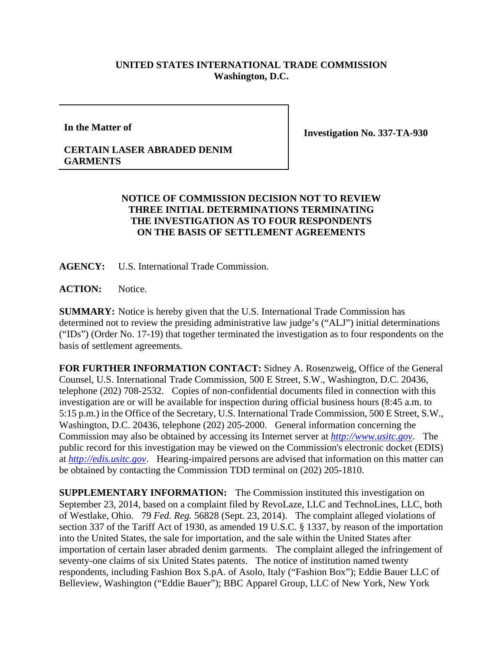## **UNITED STATES INTERNATIONAL TRADE COMMISSION Washington, D.C.**

**In the Matter of** 

**Investigation No. 337-TA-930** 

## **CERTAIN LASER ABRADED DENIM GARMENTS**

## **NOTICE OF COMMISSION DECISION NOT TO REVIEW THREE INITIAL DETERMINATIONS TERMINATING THE INVESTIGATION AS TO FOUR RESPONDENTS ON THE BASIS OF SETTLEMENT AGREEMENTS**

**AGENCY:** U.S. International Trade Commission.

**ACTION:** Notice.

**SUMMARY:** Notice is hereby given that the U.S. International Trade Commission has determined not to review the presiding administrative law judge's ("ALJ") initial determinations ("IDs") (Order No. 17-19) that together terminated the investigation as to four respondents on the basis of settlement agreements.

**FOR FURTHER INFORMATION CONTACT:** Sidney A. Rosenzweig, Office of the General Counsel, U.S. International Trade Commission, 500 E Street, S.W., Washington, D.C. 20436, telephone (202) 708-2532. Copies of non-confidential documents filed in connection with this investigation are or will be available for inspection during official business hours (8:45 a.m. to 5:15 p.m.) in the Office of the Secretary, U.S. International Trade Commission, 500 E Street, S.W., Washington, D.C. 20436, telephone (202) 205-2000. General information concerning the Commission may also be obtained by accessing its Internet server at *http://www.usitc.gov*. The public record for this investigation may be viewed on the Commission's electronic docket (EDIS) at *http://edis.usitc.gov*. Hearing-impaired persons are advised that information on this matter can be obtained by contacting the Commission TDD terminal on (202) 205-1810.

**SUPPLEMENTARY INFORMATION:** The Commission instituted this investigation on September 23, 2014, based on a complaint filed by RevoLaze, LLC and TechnoLines, LLC, both of Westlake, Ohio. 79 *Fed. Reg.* 56828 (Sept. 23, 2014). The complaint alleged violations of section 337 of the Tariff Act of 1930, as amended 19 U.S.C. § 1337, by reason of the importation into the United States, the sale for importation, and the sale within the United States after importation of certain laser abraded denim garments. The complaint alleged the infringement of seventy-one claims of six United States patents. The notice of institution named twenty respondents, including Fashion Box S.pA. of Asolo, Italy ("Fashion Box"); Eddie Bauer LLC of Belleview, Washington ("Eddie Bauer"); BBC Apparel Group, LLC of New York, New York